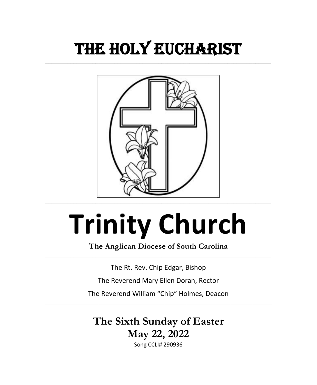# THE HOLY EUCHARIST

**\_\_\_\_\_\_\_\_\_\_\_\_\_\_\_\_\_\_\_\_\_\_\_\_\_\_\_\_\_\_\_\_\_\_\_\_\_\_\_\_\_\_\_\_\_\_\_\_\_\_\_\_\_\_\_\_\_\_\_\_\_\_\_\_\_\_\_\_\_\_\_\_**



# **Trinity Church**

**The Anglican Diocese of South Carolina \_\_\_\_\_\_\_\_\_\_\_\_\_\_\_\_\_\_\_\_\_\_\_\_\_\_\_\_\_\_\_\_\_\_\_\_\_\_\_\_\_\_\_\_\_\_\_\_\_\_\_\_\_\_\_\_\_\_\_\_\_\_\_\_\_\_\_\_\_\_\_\_**

The Rt. Rev. Chip Edgar, Bishop

The Reverend Mary Ellen Doran, Rector

The Reverend William "Chip" Holmes, Deacon **\_\_\_\_\_\_\_\_\_\_\_\_\_\_\_\_\_\_\_\_\_\_\_\_\_\_\_\_\_\_\_\_\_\_\_\_\_\_\_\_\_\_\_\_\_\_\_\_\_\_\_\_\_\_\_\_\_\_\_\_\_\_\_\_\_\_\_\_\_\_\_\_**

> **The Sixth Sunday of Easter May 22, 2022**

Song CCLI# 290936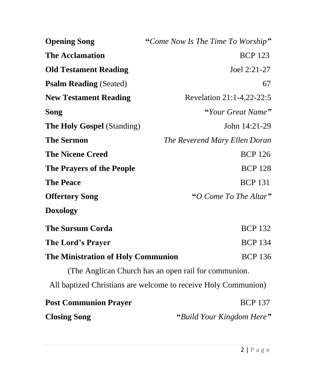| <b>Opening Song</b>                       | "Come Now Is The Time To Worship"                              |
|-------------------------------------------|----------------------------------------------------------------|
| <b>The Acclamation</b>                    | <b>BCP 123</b>                                                 |
| <b>Old Testament Reading</b>              | Joel 2:21-27                                                   |
| <b>Psalm Reading (Seated)</b>             | 67                                                             |
| <b>New Testament Reading</b>              | Revelation 21:1-4,22-22:5                                      |
| Song                                      | "Your Great Name"                                              |
| <b>The Holy Gospel</b> (Standing)         | John 14:21-29                                                  |
| <b>The Sermon</b>                         | The Reverend Mary Ellen Doran                                  |
| <b>The Nicene Creed</b>                   | <b>BCP 126</b>                                                 |
| <b>The Prayers of the People</b>          | <b>BCP 128</b>                                                 |
| <b>The Peace</b>                          | <b>BCP 131</b>                                                 |
| <b>Offertory Song</b>                     | "O Come To The Altar"                                          |
| <b>Doxology</b>                           |                                                                |
| <b>The Sursum Corda</b>                   | <b>BCP 132</b>                                                 |
| The Lord's Prayer                         | <b>BCP 134</b>                                                 |
| <b>The Ministration of Holy Communion</b> | <b>BCP 136</b>                                                 |
|                                           | (The Anglican Church has an open rail for communion.           |
|                                           | All baptized Christians are welcome to receive Holy Communion) |
| <b>Post Communion Prayer</b>              | <b>BCP 137</b>                                                 |
| <b>Closing Song</b>                       | "Build Your Kingdom Here"                                      |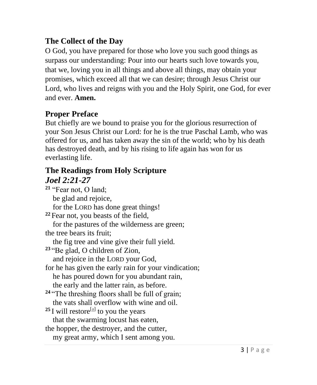## **The Collect of the Day**

O God, you have prepared for those who love you such good things as surpass our understanding: Pour into our hearts such love towards you, that we, loving you in all things and above all things, may obtain your promises, which exceed all that we can desire; through Jesus Christ our Lord, who lives and reigns with you and the Holy Spirit, one God, for ever and ever. **Amen.**

### **Proper Preface**

But chiefly are we bound to praise you for the glorious resurrection of your Son Jesus Christ our Lord: for he is the true Paschal Lamb, who was offered for us, and has taken away the sin of the world; who by his death has destroyed death, and by his rising to life again has won for us everlasting life.

## **The Readings from Holy Scripture** *Joel 2:21-27*

**<sup>21</sup>** "Fear not, O land; be glad and rejoice, for the LORD has done great things! **<sup>22</sup>** Fear not, you beasts of the field, for the pastures of the wilderness are green; the tree bears its fruit; the fig tree and vine give their full yield. **<sup>23</sup>** "Be glad, O children of Zion, and rejoice in the LORD your God, for he has given the early rain for your vindication; he has poured down for you abundant rain, the early and the latter rain, as before. **<sup>24</sup>** "The threshing floors shall be full of grain; the vats shall overflow with wine and oil.  $25$  I will restore<sup>[\[a\]](https://www.biblegateway.com/passage/?search=Joel+2%3A21-27&version=ESV#fen-ESV-22337a)</sup> to you the years that the swarming locust has eaten, the hopper, the destroyer, and the cutter, my great army, which I sent among you.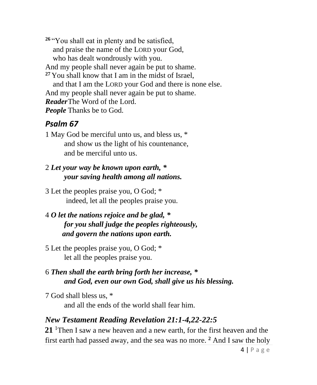**<sup>26</sup>** "You shall eat in plenty and be satisfied, and praise the name of the LORD your God, who has dealt wondrously with you. And my people shall never again be put to shame. **<sup>27</sup>** You shall know that I am in the midst of Israel, and that I am the LORD your God and there is none else. And my people shall never again be put to shame. *Reader*The Word of the Lord. *People* Thanks be to God.

#### *Psalm 67*

1 May God be merciful unto us, and bless us, \* and show us the light of his countenance, and be merciful unto us.

#### 2 *Let your way be known upon earth, \* your saving health among all nations.*

3 Let the peoples praise you, O God; \* indeed, let all the peoples praise you.

#### 4 *O let the nations rejoice and be glad, \* for you shall judge the peoples righteously, and govern the nations upon earth.*

5 Let the peoples praise you, O God; \* let all the peoples praise you.

#### 6 *Then shall the earth bring forth her increase, \* and God, even our own God, shall give us his blessing.*

7 God shall bless us, \* and all the ends of the world shall fear him.

#### *New Testament Reading Revelation 21:1-4,22-22:5*

**21** <sup>1</sup>Then I saw a new heaven and a new earth, for the first heaven and the first earth had passed away, and the sea was no more. **<sup>2</sup>** And I saw the holy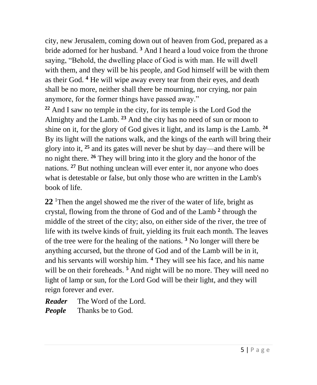city, new Jerusalem, coming down out of heaven from God, prepared as a bride adorned for her husband. **<sup>3</sup>** And I heard a loud voice from the throne saying, "Behold, the dwelling place of God is with man. He will dwell with them, and they will be his people, and God himself will be with them as their God. **<sup>4</sup>** He will wipe away every tear from their eyes, and death shall be no more, neither shall there be mourning, nor crying, nor pain anymore, for the former things have passed away."

**<sup>22</sup>** And I saw no temple in the city, for its temple is the Lord God the Almighty and the Lamb. **<sup>23</sup>** And the city has no need of sun or moon to shine on it, for the glory of God gives it light, and its lamp is the Lamb. **<sup>24</sup>** By its light will the nations walk, and the kings of the earth will bring their glory into it, **<sup>25</sup>** and its gates will never be shut by day—and there will be no night there. **<sup>26</sup>** They will bring into it the glory and the honor of the nations. **<sup>27</sup>** But nothing unclean will ever enter it, nor anyone who does what is detestable or false, but only those who are written in the Lamb's book of life.

**22** <sup>1</sup>Then the angel showed me the river of the water of life, bright as crystal, flowing from the throne of God and of the Lamb **<sup>2</sup>** through the middle of the street of the city; also, on either side of the river, the tree of life with its twelve kinds of fruit, yielding its fruit each month. The leaves of the tree were for the healing of the nations. **<sup>3</sup>** No longer will there be anything accursed, but the throne of God and of the Lamb will be in it, and his servants will worship him. **<sup>4</sup>** They will see his face, and his name will be on their foreheads. <sup>5</sup> And night will be no more. They will need no light of lamp or sun, for the Lord God will be their light, and they will reign forever and ever.

*Reader* The Word of the Lord. *People* Thanks be to God.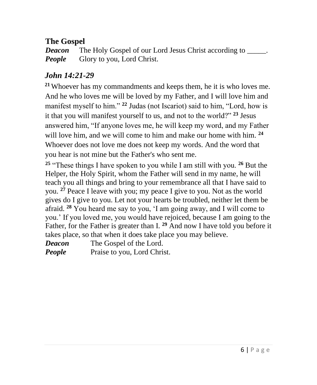#### **The Gospel**

*Deacon* The Holy Gospel of our Lord Jesus Christ according to \_\_\_\_\_. *People* Glory to you, Lord Christ.

## *John 14:21-29*

**<sup>21</sup>**Whoever has my commandments and keeps them, he it is who loves me. And he who loves me will be loved by my Father, and I will love him and manifest myself to him." **<sup>22</sup>** Judas (not Iscariot) said to him, "Lord, how is it that you will manifest yourself to us, and not to the world?" **<sup>23</sup>** Jesus answered him, "If anyone loves me, he will keep my word, and my Father will love him, and we will come to him and make our home with him. **<sup>24</sup>** Whoever does not love me does not keep my words. And the word that you hear is not mine but the Father's who sent me.

**<sup>25</sup>** "These things I have spoken to you while I am still with you. **<sup>26</sup>** But the Helper, the Holy Spirit, whom the Father will send in my name, he will teach you all things and bring to your remembrance all that I have said to you. **<sup>27</sup>** Peace I leave with you; my peace I give to you. Not as the world gives do I give to you. Let not your hearts be troubled, neither let them be afraid. **<sup>28</sup>** You heard me say to you, 'I am going away, and I will come to you.' If you loved me, you would have rejoiced, because I am going to the Father, for the Father is greater than I. **<sup>29</sup>** And now I have told you before it takes place, so that when it does take place you may believe.

*Deacon* The Gospel of the Lord. *People* Praise to you, Lord Christ.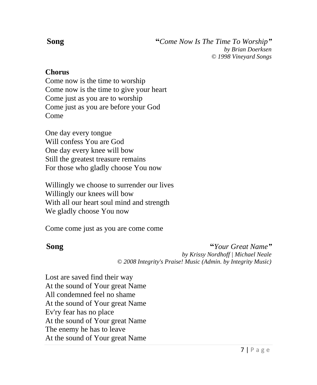#### **Song "***Come Now Is The Time To Worship" by Brian Doerksen © 1998 Vineyard Songs*

#### **Chorus**

Come now is the time to worship Come now is the time to give your heart Come just as you are to worship Come just as you are before your God Come

One day every tongue Will confess You are God One day every knee will bow Still the greatest treasure remains For those who gladly choose You now

Willingly we choose to surrender our lives Willingly our knees will bow With all our heart soul mind and strength We gladly choose You now

Come come just as you are come come

**Song "***Your Great Name" by Krissy Nordhoff | Michael Neale © 2008 Integrity's Praise! Music (Admin. by Integrity Music)*

Lost are saved find their way At the sound of Your great Name All condemned feel no shame At the sound of Your great Name Ev'ry fear has no place At the sound of Your great Name The enemy he has to leave At the sound of Your great Name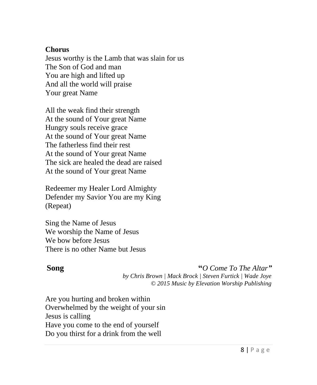#### **Chorus**

Jesus worthy is the Lamb that was slain for us The Son of God and man You are high and lifted up And all the world will praise Your great Name

All the weak find their strength At the sound of Your great Name Hungry souls receive grace At the sound of Your great Name The fatherless find their rest At the sound of Your great Name The sick are healed the dead are raised At the sound of Your great Name

Redeemer my Healer Lord Almighty Defender my Savior You are my King (Repeat)

Sing the Name of Jesus We worship the Name of Jesus We bow before Jesus There is no other Name but Jesus

**Song "***O Come To The Altar" by Chris Brown | Mack Brock | Steven Furtick | Wade Joye © 2015 Music by Elevation Worship Publishing*

Are you hurting and broken within Overwhelmed by the weight of your sin Jesus is calling Have you come to the end of yourself Do you thirst for a drink from the well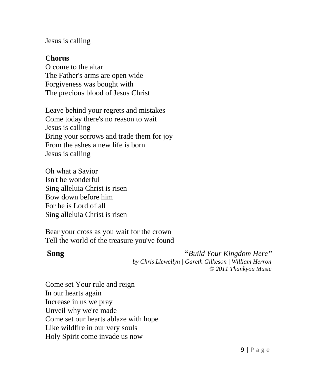#### Jesus is calling

#### **Chorus**

O come to the altar The Father's arms are open wide Forgiveness was bought with The precious blood of Jesus Christ

Leave behind your regrets and mistakes Come today there's no reason to wait Jesus is calling Bring your sorrows and trade them for joy From the ashes a new life is born Jesus is calling

Oh what a Savior Isn't he wonderful Sing alleluia Christ is risen Bow down before him For he is Lord of all Sing alleluia Christ is risen

Bear your cross as you wait for the crown Tell the world of the treasure you've found

**Song "***Build Your Kingdom Here" by Chris Llewellyn | Gareth Gilkeson | William Herron © 2011 Thankyou Music*

Come set Your rule and reign In our hearts again Increase in us we pray Unveil why we're made Come set our hearts ablaze with hope Like wildfire in our very souls Holy Spirit come invade us now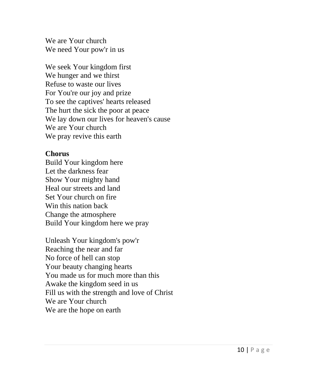We are Your church We need Your pow'r in us

We seek Your kingdom first We hunger and we thirst Refuse to waste our lives For You're our joy and prize To see the captives' hearts released The hurt the sick the poor at peace We lay down our lives for heaven's cause We are Your church We pray revive this earth

#### **Chorus**

Build Your kingdom here Let the darkness fear Show Your mighty hand Heal our streets and land Set Your church on fire Win this nation back Change the atmosphere Build Your kingdom here we pray

Unleash Your kingdom's pow'r Reaching the near and far No force of hell can stop Your beauty changing hearts You made us for much more than this Awake the kingdom seed in us Fill us with the strength and love of Christ We are Your church We are the hope on earth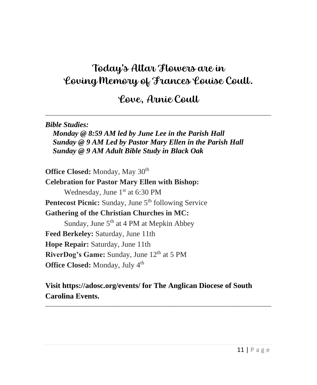## Today's Altar Flowers are in Loving Memory of Frances Louise Coull.

Love, Arnie Coull

**\_\_\_\_\_\_\_\_\_\_\_\_\_\_\_\_\_\_\_\_\_\_\_\_\_\_\_\_\_\_\_\_\_\_\_\_\_\_\_\_\_\_\_\_\_\_\_\_\_\_\_\_\_\_\_\_\_\_\_\_\_\_\_\_\_\_\_\_\_\_\_\_**

*Bible Studies:*

 *Monday @ 8:59 AM led by June Lee in the Parish Hall Sunday @ 9 AM Led by Pastor Mary Ellen in the Parish Hall Sunday @ 9 AM Adult Bible Study in Black Oak*

**Office Closed:** Monday, May 30th

**Celebration for Pastor Mary Ellen with Bishop:** Wednesday, June  $1<sup>st</sup>$  at 6:30 PM **Pentecost Picnic:** Sunday, June 5<sup>th</sup> following Service **Gathering of the Christian Churches in MC:** Sunday, June  $5<sup>th</sup>$  at 4 PM at Mepkin Abbey **Feed Berkeley:** Saturday, June 11th **Hope Repair:** Saturday, June 11th **RiverDog's Game:** Sunday, June 12<sup>th</sup> at 5 PM **Office Closed:** Monday, July 4<sup>th</sup>

**Visit https://adosc.org/events/ for The Anglican Diocese of South Carolina Events.**

**\_\_\_\_\_\_\_\_\_\_\_\_\_\_\_\_\_\_\_\_\_\_\_\_\_\_\_\_\_\_\_\_\_\_\_\_\_\_\_\_\_\_\_\_\_\_\_\_\_\_\_\_\_\_\_\_\_\_\_\_\_\_\_\_\_\_\_\_\_\_\_\_**